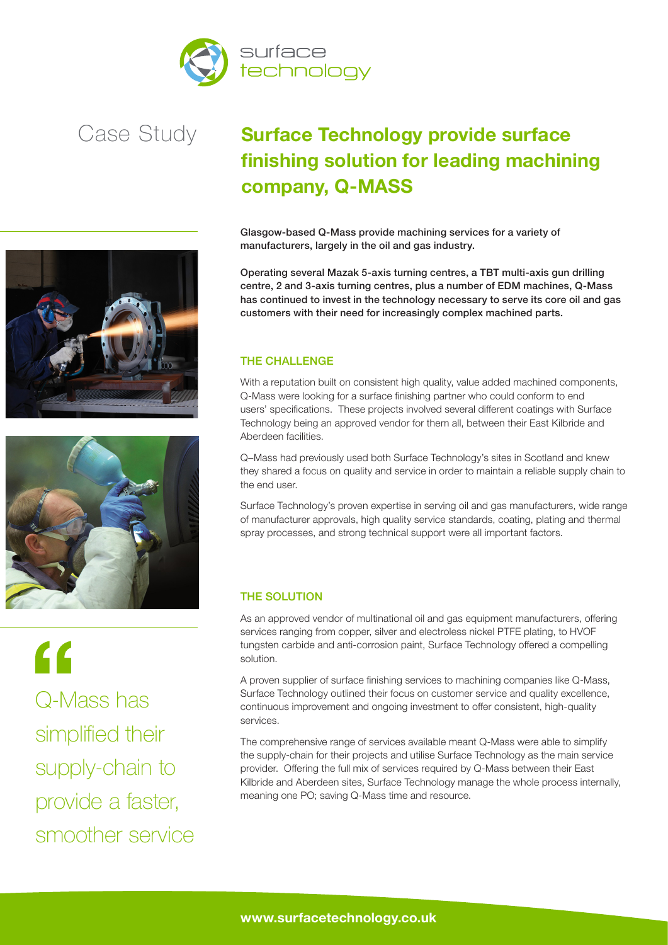





 $\epsilon$ Q-Mass has simplified their supply-chain to provide a faster, smoother service

## **Surface Technology provide surface finishing solution for leading machining company, Q-MASS**

Glasgow-based Q-Mass provide machining services for a variety of manufacturers, largely in the oil and gas industry.

Operating several Mazak 5-axis turning centres, a TBT multi-axis gun drilling centre, 2 and 3-axis turning centres, plus a number of EDM machines, Q-Mass has continued to invest in the technology necessary to serve its core oil and gas customers with their need for increasingly complex machined parts.

#### THE CHALLENGE

With a reputation built on consistent high quality, value added machined components, Q-Mass were looking for a surface finishing partner who could conform to end users' specifications. These projects involved several different coatings with Surface Technology being an approved vendor for them all, between their East Kilbride and Aberdeen facilities.

Q–Mass had previously used both Surface Technology's sites in Scotland and knew they shared a focus on quality and service in order to maintain a reliable supply chain to the end user.

Surface Technology's proven expertise in serving oil and gas manufacturers, wide range of manufacturer approvals, high quality service standards, coating, plating and thermal spray processes, and strong technical support were all important factors.

### THE SOLUTION

As an approved vendor of multinational oil and gas equipment manufacturers, offering services ranging from copper, silver and electroless nickel PTFE plating, to HVOF tungsten carbide and anti-corrosion paint, Surface Technology offered a compelling solution.

A proven supplier of surface finishing services to machining companies like Q-Mass, Surface Technology outlined their focus on customer service and quality excellence, continuous improvement and ongoing investment to offer consistent, high-quality services.

The comprehensive range of services available meant Q-Mass were able to simplify the supply-chain for their projects and utilise Surface Technology as the main service provider. Offering the full mix of services required by Q-Mass between their East Kilbride and Aberdeen sites, Surface Technology manage the whole process internally, meaning one PO; saving Q-Mass time and resource.